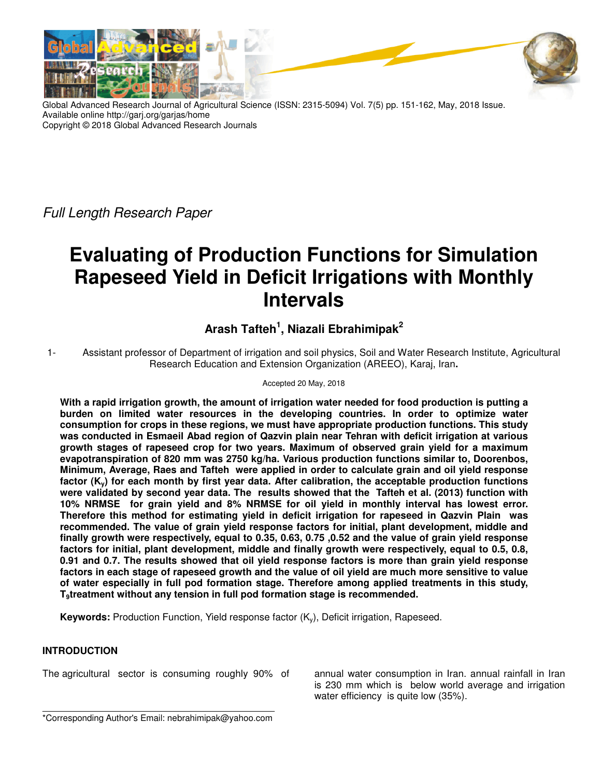

Global Advanced Research Journal of Agricultural Science (ISSN: 2315-5094) Vol. 7(5) pp. 151-162, May, 2018 Issue. Available online http://garj.org/garjas/home Copyright © 2018 Global Advanced Research Journals

Full Length Research Paper

# **Evaluating of Production Functions for Simulation Rapeseed Yield in Deficit Irrigations with Monthly Intervals**

# **Arash Tafteh<sup>1</sup> , Niazali Ebrahimipak<sup>2</sup>**

1- Assistant professor of Department of irrigation and soil physics, Soil and Water Research Institute, Agricultural Research Education and Extension Organization (AREEO), Karaj, Iran**.**

# Accepted 20 May, 2018

**With a rapid irrigation growth, the amount of irrigation water needed for food production is putting a burden on limited water resources in the developing countries. In order to optimize water consumption for crops in these regions, we must have appropriate production functions. This study was conducted in Esmaeil Abad region of Qazvin plain near Tehran with deficit irrigation at various growth stages of rapeseed crop for two years. Maximum of observed grain yield for a maximum evapotranspiration of 820 mm was 2750 kg/ha. Various production functions similar to, Doorenbos, Minimum, Average, Raes and Tafteh were applied in order to calculate grain and oil yield response factor (Ky) for each month by first year data. After calibration, the acceptable production functions were validated by second year data. The results showed that the Tafteh et al. (2013) function with 10% NRMSE for grain yield and 8% NRMSE for oil yield in monthly interval has lowest error. Therefore this method for estimating yield in deficit irrigation for rapeseed in Qazvin Plain was recommended. The value of grain yield response factors for initial, plant development, middle and finally growth were respectively, equal to 0.35, 0.63, 0.75 ,0.52 and the value of grain yield response factors for initial, plant development, middle and finally growth were respectively, equal to 0.5, 0.8, 0.91 and 0.7. The results showed that oil yield response factors is more than grain yield response factors in each stage of rapeseed growth and the value of oil yield are much more sensitive to value of water especially in full pod formation stage. Therefore among applied treatments in this study, T9treatment without any tension in full pod formation stage is recommended.** 

**Keywords:** Production Function, Yield response factor (Ky), Deficit irrigation, Rapeseed.

# **INTRODUCTION**

The agricultural sector is consuming roughly 90% of

annual water consumption in Iran. annual rainfall in Iran is 230 mm which is below world average and irrigation water efficiency is quite low (35%).

<sup>\*</sup>Corresponding Author's Email: nebrahimipak@yahoo.com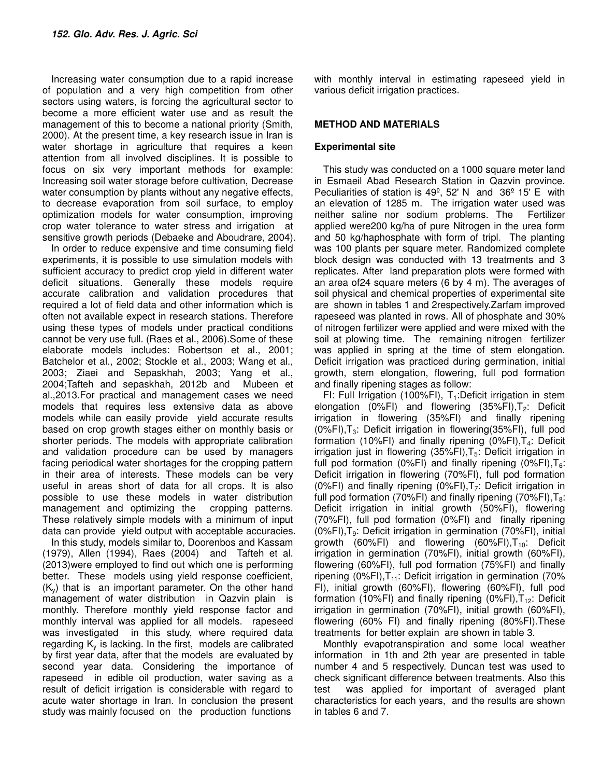Increasing water consumption due to a rapid increase of population and a very high competition from other sectors using waters, is forcing the agricultural sector to become a more efficient water use and as result the management of this to become a national priority (Smith, 2000). At the present time, a key research issue in Iran is water shortage in agriculture that requires a keen attention from all involved disciplines. It is possible to focus on six very important methods for example: Increasing soil water storage before cultivation, Decrease water consumption by plants without any negative effects, to decrease evaporation from soil surface, to employ optimization models for water consumption, improving crop water tolerance to water stress and irrigation at sensitive growth periods (Debaeke and Aboudrare, 2004).

In order to reduce expensive and time consuming field experiments, it is possible to use simulation models with sufficient accuracy to predict crop yield in different water deficit situations. Generally these models require accurate calibration and validation procedures that required a lot of field data and other information which is often not available expect in research stations. Therefore using these types of models under practical conditions cannot be very use full. (Raes et al., 2006).Some of these elaborate models includes: Robertson et al., 2001; Batchelor et al., 2002; Stockle et al., 2003; Wang et al., 2003; Ziaei and Sepaskhah, 2003; Yang et al., 2004;Tafteh and sepaskhah, 2012b and Mubeen et al.,2013.For practical and management cases we need models that requires less extensive data as above models while can easily provide yield accurate results based on crop growth stages either on monthly basis or shorter periods. The models with appropriate calibration and validation procedure can be used by managers facing periodical water shortages for the cropping pattern in their area of interests. These models can be very useful in areas short of data for all crops. It is also possible to use these models in water distribution management and optimizing the cropping patterns. These relatively simple models with a minimum of input data can provide yield output with acceptable accuracies.

In this study, models similar to, Doorenbos and Kassam (1979), Allen (1994), Raes (2004) and Tafteh et al. (2013)were employed to find out which one is performing better. These models using yield response coefficient,  $(K_v)$  that is an important parameter. On the other hand management of water distribution in Qazvin plain is monthly. Therefore monthly yield response factor and monthly interval was applied for all models. rapeseed was investigated in this study, where required data regarding  $K<sub>v</sub>$  is lacking. In the first, models are calibrated by first year data, after that the models are evaluated by second year data. Considering the importance of rapeseed in edible oil production, water saving as a result of deficit irrigation is considerable with regard to acute water shortage in Iran. In conclusion the present study was mainly focused on the production functions

with monthly interval in estimating rapeseed yield in various deficit irrigation practices.

# **METHOD AND MATERIALS**

# **Experimental site**

This study was conducted on a 1000 square meter land in Esmaeil Abad Research Station in Qazvin province. Peculiarities of station is 49º, 52' N and 36º 15' E with an elevation of 1285 m. The irrigation water used was neither saline nor sodium problems. The Fertilizer applied were200 kg/ha of pure Nitrogen in the urea form and 50 kg/haphosphate with form of tripl. The planting was 100 plants per square meter. Randomized complete block design was conducted with 13 treatments and 3 replicates. After land preparation plots were formed with an area of24 square meters (6 by 4 m). The averages of soil physical and chemical properties of experimental site are shown in tables 1 and 2respectively.Zarfam improved rapeseed was planted in rows. All of phosphate and 30% of nitrogen fertilizer were applied and were mixed with the soil at plowing time. The remaining nitrogen fertilizer was applied in spring at the time of stem elongation. Deficit irrigation was practiced during germination, initial growth, stem elongation, flowering, full pod formation and finally ripening stages as follow:

FI: Full Irrigation (100%FI),  $T_1$ :Deficit irrigation in stem elongation (0%FI) and flowering  $(35\%F1)$ ,  $T_2$ : Deficit irrigation in flowering (35%FI) and finally ripening (0%FI),  $T_3$ : Deficit irrigation in flowering(35%FI), full pod formation (10%FI) and finally ripening (0%FI),  $T_4$ : Deficit irrigation just in flowering  $(35\%F)$ ,  $T_5$ : Deficit irrigation in full pod formation (0%FI) and finally ripening (0%FI),  $T_6$ : Deficit irrigation in flowering (70%FI), full pod formation (0%FI) and finally ripening (0%FI),  $T_7$ : Deficit irrigation in full pod formation (70%FI) and finally ripening (70%FI),  $T_8$ : Deficit irrigation in initial growth (50%FI), flowering (70%FI), full pod formation (0%FI) and finally ripening  $(0\%$ FI), T<sub>9</sub>: Deficit irrigation in germination  $(70\%$ FI), initial growth (60%FI) and flowering (60%FI), $T_{10}$ : Deficit irrigation in germination (70%FI), initial growth (60%FI), flowering (60%FI), full pod formation (75%FI) and finally ripening (0%FI),  $T_{11}$ : Deficit irrigation in germination (70% FI), initial growth (60%FI), flowering (60%FI), full pod formation (10%FI) and finally ripening (0%FI),  $T_{12}$ : Deficit irrigation in germination (70%FI), initial growth (60%FI), flowering (60% FI) and finally ripening (80%FI).These treatments for better explain are shown in table 3.

Monthly evapotranspiration and some local weather information in 1th and 2th year are presented in table number 4 and 5 respectively. Duncan test was used to check significant difference between treatments. Also this test was applied for important of averaged plant characteristics for each years, and the results are shown in tables 6 and 7.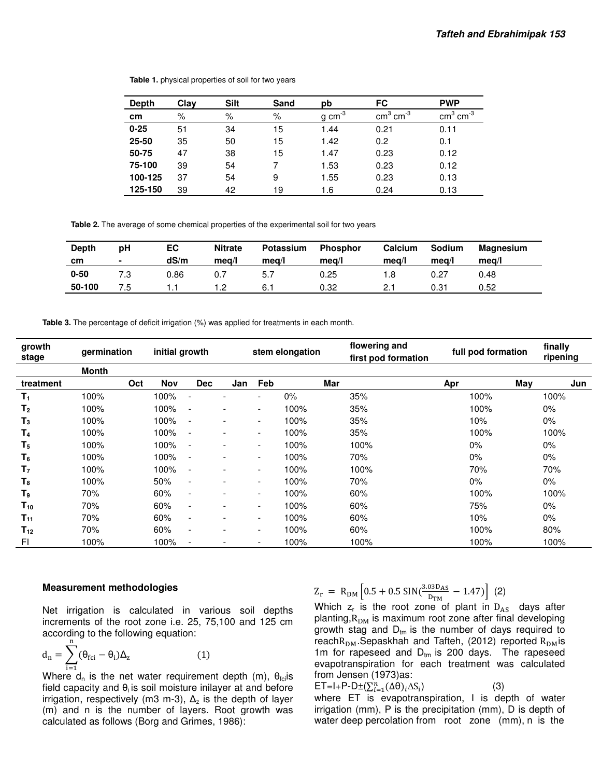| <b>Depth</b> | Clay | Silt | Sand | pb                  | <b>FC</b>              | <b>PWP</b>             |
|--------------|------|------|------|---------------------|------------------------|------------------------|
| cm           | %    | %    | %    | $g \text{ cm}^{-3}$ | $cm3$ cm <sup>-3</sup> | $cm3$ cm <sup>-3</sup> |
| $0 - 25$     | 51   | 34   | 15   | 1.44                | 0.21                   | 0.11                   |
| 25-50        | 35   | 50   | 15   | 1.42                | 0.2                    | 0.1                    |
| 50-75        | 47   | 38   | 15   | 1.47                | 0.23                   | 0.12                   |
| 75-100       | 39   | 54   |      | 1.53                | 0.23                   | 0.12                   |
| 100-125      | 37   | 54   | 9    | 1.55                | 0.23                   | 0.13                   |
| 125-150      | 39   | 42   | 19   | 1.6                 | 0.24                   | 0.13                   |

 **Table 1.** physical properties of soil for two years

 **Table 2.** The average of some chemical properties of the experimental soil for two years

| <b>Depth</b><br>cm | рH<br>$\sim$ | EC<br>dS/m | <b>Nitrate</b><br>mea/l | Potassium<br>mea/l | <b>Phosphor</b><br>mea/l | Calcium<br>mea/l | Sodium<br>mea/l | Magnesium<br>mea/l |
|--------------------|--------------|------------|-------------------------|--------------------|--------------------------|------------------|-----------------|--------------------|
| $0 - 50$           | 7.3          | 0.86       | 0.7                     | 5.1                | 0.25                     | 1.8              | 0.27            | 0.48               |
| 50-100             | 7.5          |            | 1.2                     | 6.1                | 0.32                     | 2.1              | 0.31            | 0.52               |

**Table 3.** The percentage of deficit irrigation (%) was applied for treatments in each month.

| growth<br>stage | germination  |      | initial growth |                          |     |                          | stem elongation | flowering and<br>first pod formation | full pod formation | finally<br>ripening |  |
|-----------------|--------------|------|----------------|--------------------------|-----|--------------------------|-----------------|--------------------------------------|--------------------|---------------------|--|
|                 | <b>Month</b> |      |                |                          |     |                          |                 |                                      |                    |                     |  |
| treatment       |              | Oct  | <b>Nov</b>     | <b>Dec</b>               | Jan | Feb                      | <b>Mar</b>      |                                      | May<br>Apr         | Jun                 |  |
| $T_1$           | 100%         | 100% |                | $\overline{\phantom{a}}$ |     | $\overline{\phantom{a}}$ | $0\%$           | 35%                                  | 100%               | 100%                |  |
| T <sub>2</sub>  | 100%         | 100% |                | $\overline{\phantom{a}}$ |     | $\overline{\phantom{a}}$ | 100%            | 35%                                  | 100%               | $0\%$               |  |
| $T_3$           | 100%         | 100% |                | $\overline{\phantom{a}}$ |     | $\overline{\phantom{a}}$ | 100%            | 35%                                  | 10%                | $0\%$               |  |
| T <sub>4</sub>  | 100%         | 100% |                | $\overline{\phantom{a}}$ |     | $\overline{\phantom{a}}$ | 100%            | 35%                                  | 100%               | 100%                |  |
| $T_5$           | 100%         | 100% |                | $\overline{\phantom{a}}$ |     | $\overline{\phantom{a}}$ | 100%            | 100%                                 | $0\%$              | 0%                  |  |
| $T_6$           | 100%         | 100% |                | $\overline{\phantom{a}}$ |     | $\overline{\phantom{a}}$ | 100%            | 70%                                  | $0\%$              | $0\%$               |  |
| T <sub>7</sub>  | 100%         | 100% |                | $\overline{\phantom{a}}$ |     | $\overline{\phantom{a}}$ | 100%            | 100%                                 | 70%                | 70%                 |  |
| $T_8$           | 100%         | 50%  |                | $\overline{\phantom{a}}$ |     | $\overline{\phantom{a}}$ | 100%            | 70%                                  | $0\%$              | $0\%$               |  |
| T <sub>9</sub>  | 70%          | 60%  |                | $\overline{\phantom{a}}$ |     | $\overline{\phantom{a}}$ | 100%            | 60%                                  | 100%               | 100%                |  |
| $T_{10}$        | 70%          | 60%  |                | $\overline{\phantom{a}}$ |     | $\overline{\phantom{a}}$ | 100%            | 60%                                  | 75%                | $0\%$               |  |
| $T_{11}$        | 70%          | 60%  |                | $\overline{\phantom{a}}$ |     | $\overline{\phantom{a}}$ | 100%            | 60%                                  | 10%                | $0\%$               |  |
| $T_{12}$        | 70%          | 60%  |                | $\overline{\phantom{a}}$ |     | $\overline{\phantom{a}}$ | 100%            | 60%                                  | 100%               | 80%                 |  |
| FI.             | 100%         | 100% |                | $\overline{\phantom{a}}$ |     | $\overline{\phantom{a}}$ | 100%            | 100%                                 | 100%               | 100%                |  |

#### **Measurement methodologies**

Net irrigation is calculated in various soil depths increments of the root zone i.e. 25, 75,100 and 125 cm according to the following equation:

$$
d_n = \sum_{i=1}^{n} (\theta_{fci} - \theta_i) \Delta_z \tag{1}
$$

Where  $d_n$  is the net water requirement depth (m),  $\theta_{\text{fo}}$ is field capacity and  $\theta_i$  is soil moisture inilayer at and before irrigation, respectively (m3 m-3),  $\Delta_z$  is the depth of layer (m) and n is the number of layers. Root growth was calculated as follows (Borg and Grimes, 1986):

$$
Z_{r} = R_{DM} \left[ 0.5 + 0.5 \, \text{SIN} \left( \frac{3.03 \, \text{D}_{AS}}{\text{D}_{TM}} - 1.47 \right) \right] \tag{2}
$$

Which  $z_r$  is the root zone of plant in  $D_{AS}$  days after planting,  $R_{DM}$  is maximum root zone after final developing growth stag and  $D_{tm}$  is the number of days required to reach $R_{DM}$ . Sepaskhah and Tafteh, (2012) reported  $R_{DM}$ is 1m for rapeseed and  $D_{tm}$  is 200 days. The rapeseed evapotranspiration for each treatment was calculated from Jensen (1973)as:

 $ET=I+P-D\pm(\sum_{i=1}^{n}(\Delta\theta)_i\Delta S_i)$  (3)

where ET is evapotranspiration, I is depth of water irrigation (mm), P is the precipitation (mm), D is depth of water deep percolation from root zone (mm), n is the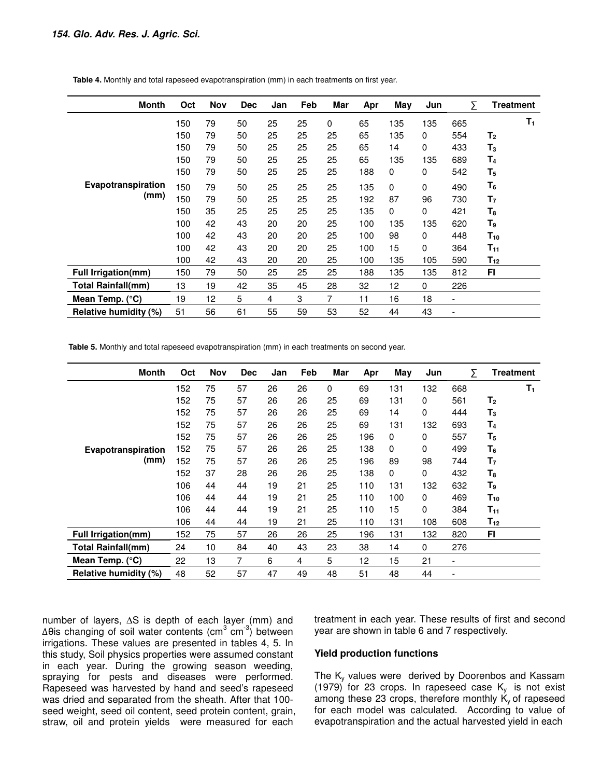| <b>Month</b>               | Oct | <b>Nov</b> | <b>Dec</b> | Jan | Feb | Mar | Apr | May      | Jun | Σ                        | <b>Treatment</b> |
|----------------------------|-----|------------|------------|-----|-----|-----|-----|----------|-----|--------------------------|------------------|
|                            | 150 | 79         | 50         | 25  | 25  | 0   | 65  | 135      | 135 | 665                      | T1               |
|                            | 150 | 79         | 50         | 25  | 25  | 25  | 65  | 135      | 0   | 554                      | T <sub>2</sub>   |
|                            | 150 | 79         | 50         | 25  | 25  | 25  | 65  | 14       | 0   | 433                      | $T_3$            |
|                            | 150 | 79         | 50         | 25  | 25  | 25  | 65  | 135      | 135 | 689                      | T <sub>4</sub>   |
|                            | 150 | 79         | 50         | 25  | 25  | 25  | 188 | 0        | 0   | 542                      | $\mathsf{T}_5$   |
| Evapotranspiration         | 150 | 79         | 50         | 25  | 25  | 25  | 135 | $\Omega$ | 0   | 490                      | T <sub>6</sub>   |
| (mm)                       | 150 | 79         | 50         | 25  | 25  | 25  | 192 | 87       | 96  | 730                      | T <sub>7</sub>   |
|                            | 150 | 35         | 25         | 25  | 25  | 25  | 135 | $\Omega$ | 0   | 421                      | T <sub>8</sub>   |
|                            | 100 | 42         | 43         | 20  | 20  | 25  | 100 | 135      | 135 | 620                      | $T_9$            |
|                            | 100 | 42         | 43         | 20  | 20  | 25  | 100 | 98       | 0   | 448                      | $T_{10}$         |
|                            | 100 | 42         | 43         | 20  | 20  | 25  | 100 | 15       | 0   | 364                      | $T_{11}$         |
|                            | 100 | 42         | 43         | 20  | 20  | 25  | 100 | 135      | 105 | 590                      | $T_{12}$         |
| <b>Full Irrigation(mm)</b> | 150 | 79         | 50         | 25  | 25  | 25  | 188 | 135      | 135 | 812                      | FI               |
| <b>Total Rainfall(mm)</b>  | 13  | 19         | 42         | 35  | 45  | 28  | 32  | 12       | 0   | 226                      |                  |
| Mean Temp. $(^{\circ}C)$   | 19  | 12         | 5          | 4   | 3   | 7   | 11  | 16       | 18  | $\overline{\phantom{a}}$ |                  |
| Relative humidity (%)      | 51  | 56         | 61         | 55  | 59  | 53  | 52  | 44       | 43  | $\overline{\phantom{0}}$ |                  |

 **Table 4.** Monthly and total rapeseed evapotranspiration (mm) in each treatments on first year.

 **Table 5.** Monthly and total rapeseed evapotranspiration (mm) in each treatments on second year.

| Month                      | Oct | <b>Nov</b> | <b>Dec</b> | Jan | Feb | Mar      | Apr | May | Jun | Σ                        | Treatment         |
|----------------------------|-----|------------|------------|-----|-----|----------|-----|-----|-----|--------------------------|-------------------|
|                            | 152 | 75         | 57         | 26  | 26  | $\Omega$ | 69  | 131 | 132 | 668                      | T1                |
|                            | 152 | 75         | 57         | 26  | 26  | 25       | 69  | 131 | 0   | 561                      | T <sub>2</sub>    |
|                            | 152 | 75         | 57         | 26  | 26  | 25       | 69  | 14  | 0   | 444                      | $T_3$             |
|                            | 152 | 75         | 57         | 26  | 26  | 25       | 69  | 131 | 132 | 693                      | T <sub>4</sub>    |
|                            | 152 | 75         | 57         | 26  | 26  | 25       | 196 | 0   | 0   | 557                      | T <sub>5</sub>    |
| Evapotranspiration         | 152 | 75         | 57         | 26  | 26  | 25       | 138 | 0   | 0   | 499                      | T <sub>6</sub>    |
| (mm)                       | 152 | 75         | 57         | 26  | 26  | 25       | 196 | 89  | 98  | 744                      | T <sub>7</sub>    |
|                            | 152 | 37         | 28         | 26  | 26  | 25       | 138 | 0   | 0   | 432                      | $T_8$             |
|                            | 106 | 44         | 44         | 19  | 21  | 25       | 110 | 131 | 132 | 632                      | T <sub>9</sub>    |
|                            | 106 | 44         | 44         | 19  | 21  | 25       | 110 | 100 | 0   | 469                      | $T_{10}$          |
|                            | 106 | 44         | 44         | 19  | 21  | 25       | 110 | 15  | 0   | 384                      | $\mathsf{T}_{11}$ |
|                            | 106 | 44         | 44         | 19  | 21  | 25       | 110 | 131 | 108 | 608                      | $\mathsf{T}_{12}$ |
| <b>Full Irrigation(mm)</b> | 152 | 75         | 57         | 26  | 26  | 25       | 196 | 131 | 132 | 820                      | FI                |
| <b>Total Rainfall(mm)</b>  | 24  | 10         | 84         | 40  | 43  | 23       | 38  | 14  | 0   | 276                      |                   |
| Mean Temp. (°C)            | 22  | 13         | 7          | 6   | 4   | 5        | 12  | 15  | 21  | $\overline{\phantom{a}}$ |                   |
| Relative humidity (%)      | 48  | 52         | 57         | 47  | 49  | 48       | 51  | 48  | 44  | $\overline{\phantom{a}}$ |                   |

number of layers, ∆S is depth of each layer (mm) and ∆θis changing of soil water contents (cm<sup>3</sup> cm<sup>-3</sup>) between irrigations. These values are presented in tables 4, 5. In this study, Soil physics properties were assumed constant in each year. During the growing season weeding, spraying for pests and diseases were performed. Rapeseed was harvested by hand and seed's rapeseed was dried and separated from the sheath. After that 100 seed weight, seed oil content, seed protein content, grain, straw, oil and protein yields were measured for each

treatment in each year. These results of first and second year are shown in table 6 and 7 respectively.

#### **Yield production functions**

The  $K_y$  values were derived by Doorenbos and Kassam (1979) for 23 crops. In rapeseed case  $K_y$  is not exist among these 23 crops, therefore monthly  $\dot{K}_y$  of rapeseed for each model was calculated. According to value of evapotranspiration and the actual harvested yield in each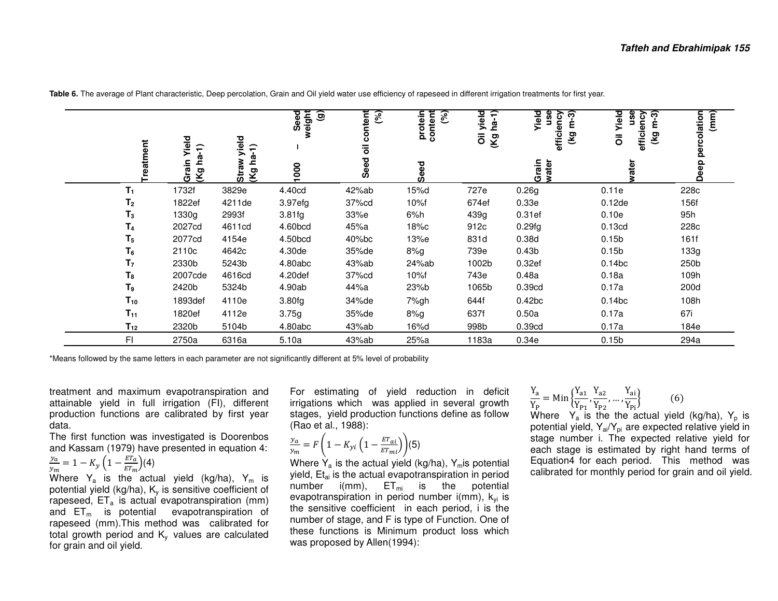| reatment       | Yield<br>ᢐ<br>Grain<br>غ<br>$\mathfrak{g}$ | yield<br>$ha-1)$<br><b>Straw</b><br>(Kg | weight<br>$\widehat{\mathbf{e}}$<br>▿<br>See<br>8 | content<br>(%)<br>ᇹ<br>Seed | content<br>ভ<br>protein<br>eed<br>ഗ | yield<br>$ha-1)$<br>ō<br>$\mathbf{g}$ | use<br>$-3)$<br>Yield<br>efficiency<br>έ<br>Σâ<br>water<br>Grain | use<br>$-3)$<br>을<br>ency<br>≻<br>effici<br>ξ¥<br>ō<br>ater | $\binom{m}{k}$<br>percolation<br>Deep |
|----------------|--------------------------------------------|-----------------------------------------|---------------------------------------------------|-----------------------------|-------------------------------------|---------------------------------------|------------------------------------------------------------------|-------------------------------------------------------------|---------------------------------------|
| $T_1$          | 1732f                                      | 3829e                                   | 4.40cd                                            | 42%ab                       | 15%d                                | 727e                                  | 0.26g                                                            | 0.11e                                                       | 228c                                  |
| T <sub>2</sub> | 1822ef                                     | 4211de                                  | 3.97efg                                           | 37%cd                       | 10%f                                | 674ef                                 | 0.33e                                                            | 0.12de                                                      | 156f                                  |
| $T_3$          | 1330g                                      | 2993f                                   | 3.81fg                                            | 33%e                        | 6%h                                 | 439g                                  | 0.31ef                                                           | 0.10e                                                       | 95h                                   |
| T <sub>4</sub> | 2027cd                                     | 4611cd                                  | 4.60bcd                                           | 45%a                        | 18%c                                | 912c                                  | 0.29fg                                                           | 0.13cd                                                      | 228c                                  |
| $T_5$          | 2077cd                                     | 4154e                                   | 4.50bcd                                           | 40%bc                       | 13%e                                | 831d                                  | 0.38d                                                            | 0.15 <sub>b</sub>                                           | 161f                                  |
| $T_6$          | 2110c                                      | 4642c                                   | 4.30de                                            | 35%de                       | 8%g                                 | 739e                                  | 0.43 <sub>b</sub>                                                | 0.15 <sub>b</sub>                                           | 133g                                  |
| T <sub>7</sub> | 2330b                                      | 5243b                                   | 4.80abc                                           | 43%ab                       | 24%ab                               | 1002b                                 | 0.32ef                                                           | 0.14 <sub>bc</sub>                                          | 250 <sub>b</sub>                      |
| $T_8$          | 2007cde                                    | 4616cd                                  | 4.20def                                           | 37%cd                       | 10%f                                | 743e                                  | 0.48a                                                            | 0.18a                                                       | 109h                                  |
| $T_9$          | 2420b                                      | 5324b                                   | 4.90ab                                            | 44%a                        | 23%b                                | 1065b                                 | 0.39cd                                                           | 0.17a                                                       | 200d                                  |
| $T_{10}$       | 1893def                                    | 4110e                                   | 3.80fg                                            | 34%de                       | 7%gh                                | 644f                                  | 0.42bc                                                           | 0.14 <sub>bc</sub>                                          | 108h                                  |
| $T_{11}$       | 1820ef                                     | 4112e                                   | 3.75g                                             | 35%de                       | 8%g                                 | 637f                                  | 0.50a                                                            | 0.17a                                                       | 67i                                   |
| $T_{12}$       | 2320b                                      | 5104b                                   | 4.80abc                                           | 43%ab                       | 16%d                                | 998b                                  | 0.39cd                                                           | 0.17a                                                       | 184e                                  |
| FI             | 2750a                                      | 6316a                                   | 5.10a                                             | 43%ab                       | 25%a                                | 1183a                                 | 0.34e                                                            | 0.15 <sub>b</sub>                                           | 294a                                  |

Table 6. The average of Plant characteristic, Deep percolation, Grain and Oil yield water use efficiency of rapeseed in different irrigation treatments for first year.

\*Means followed by the same letters in each parameter are not significantly different at 5% level of probability

treatment and maximum evapotranspiration and attainable yield in full irrigation (FI), different production functions are calibrated by first year data.

The first function was investigated is Doorenbos and Kassam (1979) have presented in equation 4:

$$
\frac{y_a}{y_m} = 1 - K_y \left( 1 - \frac{ET_a}{ET_m} \right) (4)
$$

Where  $Y_a$  is the actual yield (kg/ha),  $Y_m$  is potential yield (kg/ha), K<sub>v</sub> is sensitive coefficient of rapeseed, ET<sub>a</sub> is actual evapotranspiration (mm) and  $ET_m$  is potential evapotranspiration of rapeseed (mm). This method was calibrated for total growth period and K<sub>v</sub> values are calculated for grain and oil yield.

For estimating of yield reduction in deficit irrigations which was applied in several growth stages, yield production functions define as follow (Rao et al., 1988):

$$
\frac{y_a}{y_m} = F\left(1 - K_{yi}\left(1 - \frac{ET_{ai}}{ET_{mi}}\right)\right)
$$
(5)

Where  $Y_a$  is the actual yield (kg/ha),  $Y_m$  is potential yield, Et<sub>ai</sub> is the actual evapotranspiration in period number  $i$ (mm),  $ET_{mi}$  is the potential evapotranspiration in period number  $i$ (mm),  $k_{vi}$  is the sensitive coefficient in each period, i is the number of stage, and F is type of Function. One of these functions is Minimum product loss which was proposed by Allen(1994):

$$
\frac{Y_a}{Y_P} = \min \left\{ \frac{Y_{a1}}{Y_{P1}}, \frac{Y_{a2}}{Y_{P2}}, \dots, \frac{Y_{ai}}{Y_{Pi}} \right\}
$$
 (6)

Where  $Y_a$  is the the actual yield (kg/ha),  $Y_p$  is potential yield,  $Y_{ai}/Y_{bi}$  are expected relative yield in stage number i. The expected relative yield for each stage is estimated by right hand terms of Equation4 for each period. This method was calibrated for monthly period for grain and oil yield.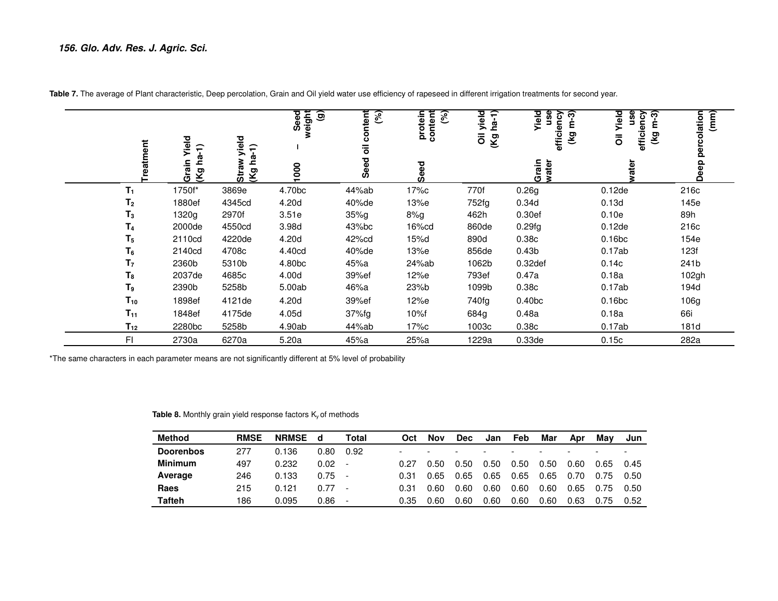| reatment          | 응<br>⋍<br>⋚<br>ೡ<br>Grain<br>(Kg | yield<br>$ha-1)$<br>Straw<br>(Kg | weight<br>$\overline{\mathbf{G}}$<br>Seed<br>80 | ntent<br>ঙ্গ<br>۰<br>ō<br>ō<br>Seed | protein<br>content<br>ভ<br>ဥ<br>ဖိ | yield<br>$\widehat{H}$<br>෬<br>ᇰ<br>ō<br>(Kg | ົ<br>use<br>Yield<br>efficiency<br>Ė<br>ि<br>स्थ<br>water<br>rain<br>ය | use<br>ଚି<br>ᇢ<br>ency<br>ε<br>effici<br>(kg<br>ō<br>atei | percolation<br>$\binom{m}{k}$<br>Deep |
|-------------------|----------------------------------|----------------------------------|-------------------------------------------------|-------------------------------------|------------------------------------|----------------------------------------------|------------------------------------------------------------------------|-----------------------------------------------------------|---------------------------------------|
| Τ,                | 1750f*                           | 3869e                            | 4.70bc                                          | 44%ab                               | 17%c                               | 770f                                         | 0.26g                                                                  | 0.12de                                                    | 216c                                  |
| $T_{2}$           | 1880ef                           | 4345cd                           | 4.20d                                           | 40%de                               | 13%e                               | 752fg                                        | 0.34d                                                                  | 0.13d                                                     | 145e                                  |
| $\mathsf{T}_3$    | 1320g                            | 2970f                            | 3.51e                                           | 35%g                                | 8%g                                | 462h                                         | 0.30 <sub>ef</sub>                                                     | 0.10e                                                     | 89h                                   |
| Τ4                | 2000de                           | 4550cd                           | 3.98d                                           | 43%bc                               | 16%cd                              | 860de                                        | 0.29fg                                                                 | 0.12de                                                    | 216c                                  |
| $T_5$             | 2110cd                           | 4220de                           | 4.20d                                           | 42%cd                               | 15%d                               | 890d                                         | 0.38c                                                                  | 0.16bc                                                    | 154e                                  |
| $\mathsf{T}_6$    | 2140cd                           | 4708c                            | 4.40cd                                          | 40%de                               | 13%e                               | 856de                                        | 0.43 <sub>b</sub>                                                      | 0.17ab                                                    | 123f                                  |
| Τ7                | 2360b                            | 5310b                            | 4.80bc                                          | 45%a                                | 24%ab                              | 1062b                                        | $0.32$ def                                                             | 0.14c                                                     | 241b                                  |
| ${\sf T}_8$       | 2037de                           | 4685c                            | 4.00d                                           | 39%ef                               | 12%e                               | 793ef                                        | 0.47a                                                                  | 0.18a                                                     | 102gh                                 |
| $T_9$             | 2390b                            | 5258b                            | 5.00ab                                          | 46%a                                | $23%$ b                            | 1099b                                        | 0.38c                                                                  | 0.17ab                                                    | 194d                                  |
| $T_{10}$          | 1898ef                           | 4121de                           | 4.20d                                           | 39%ef                               | 12%e                               | 740fg                                        | 0.40 <sub>bc</sub>                                                     | 0.16bc                                                    | 106g                                  |
| $\mathsf{T}_{11}$ | 1848ef                           | 4175de                           | 4.05d                                           | 37%fg                               | 10%f                               | 684g                                         | 0.48a                                                                  | 0.18a                                                     | 66i                                   |
| $T_{12}$          | 2280bc                           | 5258b                            | 4.90ab                                          | 44%ab                               | 17%c                               | 1003c                                        | 0.38c                                                                  | 0.17ab                                                    | 181d                                  |
| FI                | 2730a                            | 6270a                            | 5.20a                                           | 45%a                                | 25%a                               | 1229a                                        | 0.33 <sub>de</sub>                                                     | 0.15c                                                     | 282a                                  |

Table 7. The average of Plant characteristic, Deep percolation, Grain and Oil yield water use efficiency of rapeseed in different irrigation treatments for second year.

\*The same characters in each parameter means are not significantly different at 5% level of probability

Table 8. Monthly grain yield response factors  $K_y$  of methods

| <b>Method</b>    | <b>RMSE</b> | <b>NRMSE</b> | d    | Total                    | Oct  | Nov  | <b>Dec</b> | Jan                      | Feb                      | Mar  | Apr  | Mav                      | Jun                      |
|------------------|-------------|--------------|------|--------------------------|------|------|------------|--------------------------|--------------------------|------|------|--------------------------|--------------------------|
| <b>Doorenbos</b> | 277         | 0.136        | 0.80 | 0.92                     | -    |      |            | $\overline{\phantom{0}}$ | $\overline{\phantom{0}}$ | -    |      | $\overline{\phantom{0}}$ | $\overline{\phantom{a}}$ |
| <b>Minimum</b>   | 497         | 0.232        | 0.02 | $\overline{\phantom{a}}$ | 0.27 | .50  | 0.50       | 0.50                     | 0.50                     | 0.50 | 0.60 | 0.65                     | 0.45                     |
| Average          | 246         | 0.133        | 0.75 |                          | 0.31 | 0.65 | 0.65       | 0.65                     | 0.65                     | 0.65 | 0.70 | 0.75                     | 0.50                     |
| Raes             | 215         | 0.121        | 0.77 | $\overline{\phantom{a}}$ | 0.31 | ን.60 | 0.60       | 0.60                     | 0.60                     | 0.60 | 0.65 | 0.75                     | 0.50                     |
| Tafteh           | 186         | 0.095        | 0.86 | $\overline{\phantom{0}}$ | 0.35 | 0.60 | 0.60       | 0.60                     | 0.60                     | 0.60 | 0.63 | 0.75                     | 0.52                     |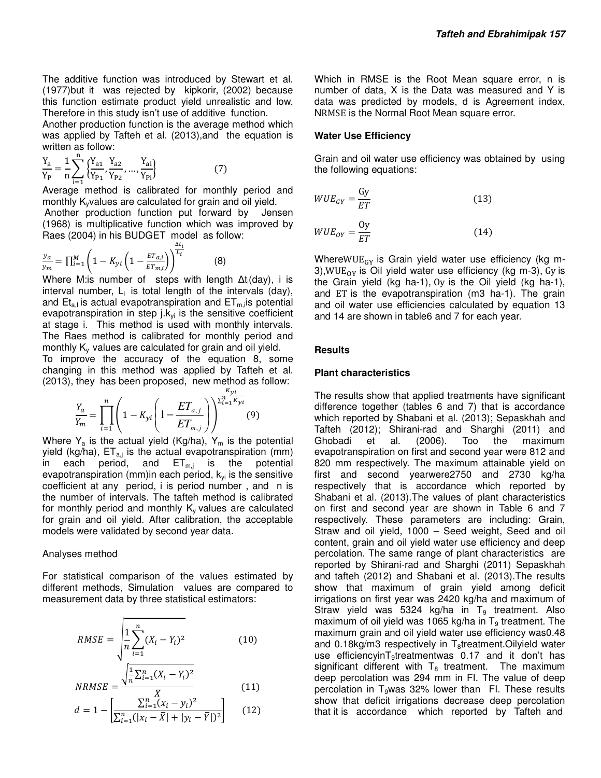The additive function was introduced by Stewart et al. (1977)but it was rejected by kipkorir, (2002) because this function estimate product yield unrealistic and low. Therefore in this study isn't use of additive function.

Another production function is the average method which was applied by Tafteh et al. (2013),and the equation is written as follow:

$$
\frac{Y_a}{Y_P} = \frac{1}{n} \sum_{i=1}^{n} \left\{ \frac{Y_{a1}}{Y_{P1}}, \frac{Y_{a2}}{Y_{P2}}, \dots, \frac{Y_{ai}}{Y_{Pi}} \right\}
$$
(7)

Average method is calibrated for monthly period and monthly K<sub>y</sub>values are calculated for grain and oil yield. Another production function put forward by Jensen (1968) is multiplicative function which was improved by Raes (2004) in his BUDGET model as follow:

$$
\frac{y_a}{y_m} = \prod_{i=1}^{M} \left( 1 - K_{yi} \left( 1 - \frac{ET_{a,i}}{ET_{m,i}} \right) \right)^{\frac{\Delta t_i}{L_i}}
$$
(8)

Where M: is number of steps with length  $\Delta t_i$ (day), i is interval number,  $L_i$  is total length of the intervals (day), and  $Et_{a,i}$  is actual evapotranspiration and  $ET_{m,i}$  is potential evapotranspiration in step j. $k_{vi}$  is the sensitive coefficient at stage i. This method is used with monthly intervals. The Raes method is calibrated for monthly period and monthly  $K_v$  values are calculated for grain and oil yield.

To improve the accuracy of the equation 8, some changing in this method was applied by Tafteh et al. (2013), they has been proposed, new method as follow:

$$
\frac{Y_a}{Y_m} = \prod_{i=1}^n \left( 1 - K_{yi} \left( 1 - \frac{ET_{a,j}}{ET_{m,j}} \right) \right)^{\frac{K_{yi}}{\sum_{i=1}^n K_{yi}}}
$$
(9)

Where  $Y_a$  is the actual yield (Kg/ha),  $Y_m$  is the potential yield (kg/ha),  $ET_{a,j}$  is the actual evapotranspiration (mm) in each period, and  $ET_{m,j}$  is the potential evapotranspiration (mm)in each period,  $k_{yi}$  is the sensitive coefficient at any period, i is period number , and n is the number of intervals. The tafteh method is calibrated for monthly period and monthly  $K_v$  values are calculated for grain and oil yield. After calibration, the acceptable models were validated by second year data.

# Analyses method

For statistical comparison of the values estimated by different methods, Simulation values are compared to measurement data by three statistical estimators:

$$
RMSE = \sqrt{\frac{1}{n} \sum_{i=1}^{n} (X_i - Y_i)^2}
$$
 (10)

$$
NRMSE = \frac{\sqrt{\frac{1}{n} \sum_{i=1}^{n} (X_i - Y_i)^2}}{\bar{X}}
$$
(11)

$$
d = 1 - \left[ \frac{\sum_{i=1}^{n} (x_i - y_i)^2}{\sum_{i=1}^{n} (|x_i - \bar{X}| + |y_i - \bar{Y}|)^2} \right] \tag{12}
$$

Which in RMSE is the Root Mean square error, n is number of data, X is the Data was measured and Y is data was predicted by models, d is Agreement index, NRMSE is the Normal Root Mean square error.

#### **Water Use Efficiency**

Grain and oil water use efficiency was obtained by using the following equations:

$$
WUE_{GY} = \frac{Gy}{ET}
$$
 (13)

$$
WUE_{OY} = \frac{\text{Oy}}{ET} \tag{14}
$$

WhereWUE<sub>GY</sub> is Grain yield water use efficiency (kg m-3), WUE<sub>OY</sub> is Oil yield water use efficiency (kg m-3), Gy is the Grain yield (kg ha-1), Oy is the Oil yield (kg ha-1), and ET is the evapotranspiration (m3 ha-1). The grain and oil water use efficiencies calculated by equation 13 and 14 are shown in table6 and 7 for each year.

# **Results**

#### **Plant characteristics**

The results show that applied treatments have significant difference together (tables 6 and 7) that is accordance which reported by Shabani et al. (2013); Sepaskhah and Tafteh (2012); Shirani-rad and Sharghi (2011) and Ghobadi et al. (2006). Too the maximum evapotranspiration on first and second year were 812 and 820 mm respectively. The maximum attainable yield on first and second yearwere2750 and 2730 kg/ha respectively that is accordance which reported by Shabani et al. (2013).The values of plant characteristics on first and second year are shown in Table 6 and 7 respectively. These parameters are including: Grain, Straw and oil yield, 1000 – Seed weight, Seed and oil content, grain and oil yield water use efficiency and deep percolation. The same range of plant characteristics are reported by Shirani-rad and Sharghi (2011) Sepaskhah and tafteh (2012) and Shabani et al. (2013).The results show that maximum of grain yield among deficit irrigations on first year was 2420 kg/ha and maximum of Straw yield was 5324 kg/ha in  $T<sub>9</sub>$  treatment. Also maximum of oil yield was 1065 kg/ha in  $T<sub>9</sub>$  treatment. The maximum grain and oil yield water use efficiency was0.48 and 0.18kg/m3 respectively in  $T_{\text{a}}$ treatment.Oilyield water use efficiencyin $T<sub>9</sub>$ treatmentwas 0.17 and it don't has significant different with  $T_8$  treatment. The maximum deep percolation was 294 mm in FI. The value of deep percolation in  $T<sub>9</sub>$ was 32% lower than FI. These results show that deficit irrigations decrease deep percolation that it is accordance which reported by Tafteh and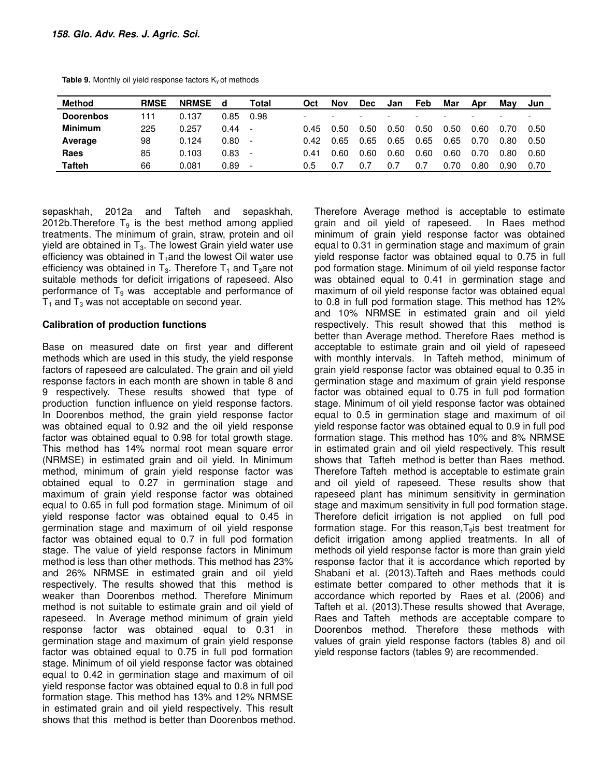| <b>Method</b>    | <b>RMSE</b> | <b>NRMSE</b> | d    | Total                    | Oct                      | Nov | <b>Dec</b> | Jan  | Feb  | Mar                      | Apr  | Mav  | Jun                      |
|------------------|-------------|--------------|------|--------------------------|--------------------------|-----|------------|------|------|--------------------------|------|------|--------------------------|
| <b>Doorenbos</b> | 11          | 0.137        | 0.85 | 0.98                     | $\overline{\phantom{0}}$ |     |            | -    | -    | $\overline{\phantom{0}}$ |      | -    | $\overline{\phantom{0}}$ |
| Minimum          | 225         | 0.257        | 0.44 | $\overline{\phantom{0}}$ | 0.45                     | .50 | 0.50       | 0.50 | 0.50 | 0.50                     | 0.60 | 0.70 | 0.50                     |
| Average          | 98          | 0.124        | 0.80 | $\overline{\phantom{a}}$ | 0.42                     | .65 | 0.65       | 0.65 | 0.65 | 0.65                     | 0.70 | 0.80 | 0.50                     |
| Raes             | 85          | 0.103        | 0.83 | $\overline{\phantom{0}}$ | 0.41                     | .60 | 0.60       | 0.60 | 0.60 | 0.60                     | 0.70 | 0.80 | 0.60                     |
| Tafteh           | 66          | 0.081        | 0.89 | $\overline{\phantom{a}}$ | 0.5                      | 0.7 | 0.,        | 0.7  | υ.   | 70                       | 0.80 | 0.90 | 0.70                     |

Table 9. Monthly oil yield response factors K<sub>y</sub> of methods

sepaskhah, 2012a and Tafteh and sepaskhah, 2012b. Therefore  $T<sub>9</sub>$  is the best method among applied treatments. The minimum of grain, straw, protein and oil yield are obtained in  $T_3$ . The lowest Grain yield water use efficiency was obtained in  $T_1$  and the lowest Oil water use efficiency was obtained in  $T_3$ . Therefore  $T_1$  and  $T_3$ are not suitable methods for deficit irrigations of rapeseed. Also performance of  $T<sub>9</sub>$  was acceptable and performance of  $T_1$  and  $T_3$  was not acceptable on second year.

# **Calibration of production functions**

Base on measured date on first year and different methods which are used in this study, the yield response factors of rapeseed are calculated. The grain and oil yield response factors in each month are shown in table 8 and 9 respectively. These results showed that type of production function influence on yield response factors. In Doorenbos method, the grain yield response factor was obtained equal to 0.92 and the oil yield response factor was obtained equal to 0.98 for total growth stage. This method has 14% normal root mean square error (NRMSE) in estimated grain and oil yield. In Minimum method, minimum of grain yield response factor was obtained equal to 0.27 in germination stage and maximum of grain yield response factor was obtained equal to 0.65 in full pod formation stage. Minimum of oil yield response factor was obtained equal to 0.45 in germination stage and maximum of oil yield response factor was obtained equal to 0.7 in full pod formation stage. The value of yield response factors in Minimum method is less than other methods. This method has 23% and 26% NRMSE in estimated grain and oil yield respectively. The results showed that this method is weaker than Doorenbos method. Therefore Minimum method is not suitable to estimate grain and oil yield of rapeseed. In Average method minimum of grain yield response factor was obtained equal to 0.31 in germination stage and maximum of grain yield response factor was obtained equal to 0.75 in full pod formation stage. Minimum of oil yield response factor was obtained equal to 0.42 in germination stage and maximum of oil yield response factor was obtained equal to 0.8 in full pod formation stage. This method has 13% and 12% NRMSE in estimated grain and oil yield respectively. This result shows that this method is better than Doorenbos method.

Therefore Average method is acceptable to estimate grain and oil yield of rapeseed. In Raes method minimum of grain yield response factor was obtained equal to 0.31 in germination stage and maximum of grain yield response factor was obtained equal to 0.75 in full pod formation stage. Minimum of oil yield response factor was obtained equal to 0.41 in germination stage and maximum of oil yield response factor was obtained equal to 0.8 in full pod formation stage. This method has 12% and 10% NRMSE in estimated grain and oil yield respectively. This result showed that this method is better than Average method. Therefore Raes method is acceptable to estimate grain and oil yield of rapeseed with monthly intervals. In Tafteh method, minimum of grain yield response factor was obtained equal to 0.35 in germination stage and maximum of grain yield response factor was obtained equal to 0.75 in full pod formation stage. Minimum of oil yield response factor was obtained equal to 0.5 in germination stage and maximum of oil yield response factor was obtained equal to 0.9 in full pod formation stage. This method has 10% and 8% NRMSE in estimated grain and oil yield respectively. This result shows that Tafteh method is better than Raes method. Therefore Tafteh method is acceptable to estimate grain and oil yield of rapeseed. These results show that rapeseed plant has minimum sensitivity in germination stage and maximum sensitivity in full pod formation stage. Therefore deficit irrigation is not applied on full pod formation stage. For this reason,  $T<sub>9</sub>$  is best treatment for deficit irrigation among applied treatments. In all of methods oil yield response factor is more than grain yield response factor that it is accordance which reported by Shabani et al. (2013).Tafteh and Raes methods could estimate better compared to other methods that it is accordance which reported by Raes et al. (2006) and Tafteh et al. (2013).These results showed that Average, Raes and Tafteh methods are acceptable compare to Doorenbos method. Therefore these methods with values of grain yield response factors (tables 8) and oil yield response factors (tables 9) are recommended.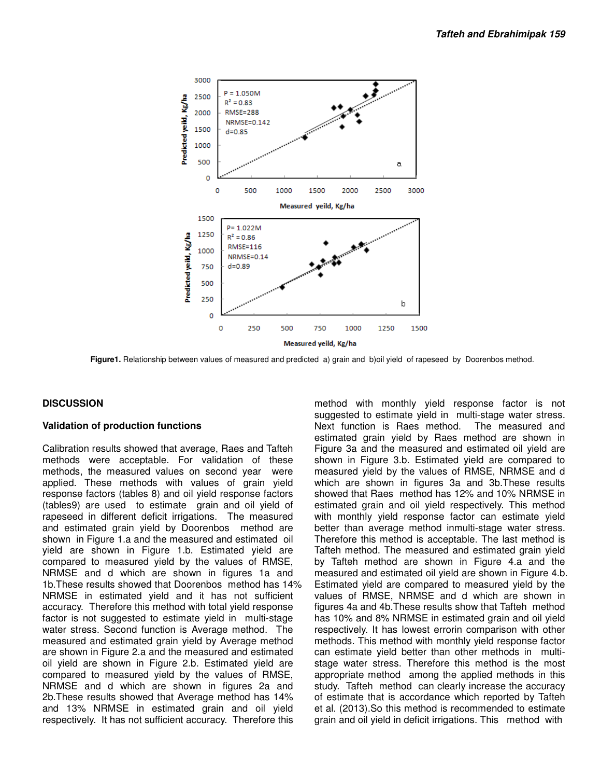

 **Figure1.** Relationship between values of measured and predicted a) grain and b)oil yield of rapeseed by Doorenbos method.

# **DISCUSSION**

# **Validation of production functions**

Calibration results showed that average, Raes and Tafteh methods were acceptable. For validation of these methods, the measured values on second year were applied. These methods with values of grain yield response factors (tables 8) and oil yield response factors (tables9) are used to estimate grain and oil yield of rapeseed in different deficit irrigations. The measured and estimated grain yield by Doorenbos method are shown in Figure 1.a and the measured and estimated oil yield are shown in Figure 1.b. Estimated yield are compared to measured yield by the values of RMSE, NRMSE and d which are shown in figures 1a and 1b.These results showed that Doorenbos method has 14% NRMSE in estimated yield and it has not sufficient accuracy. Therefore this method with total yield response factor is not suggested to estimate yield in multi-stage water stress. Second function is Average method. The measured and estimated grain yield by Average method are shown in Figure 2.a and the measured and estimated oil yield are shown in Figure 2.b. Estimated yield are compared to measured yield by the values of RMSE, NRMSE and d which are shown in figures 2a and 2b.These results showed that Average method has 14% and 13% NRMSE in estimated grain and oil yield respectively. It has not sufficient accuracy. Therefore this

method with monthly yield response factor is not suggested to estimate yield in multi-stage water stress. Next function is Raes method. The measured and estimated grain yield by Raes method are shown in Figure 3a and the measured and estimated oil yield are shown in Figure 3.b. Estimated yield are compared to measured yield by the values of RMSE, NRMSE and d which are shown in figures 3a and 3b.These results showed that Raes method has 12% and 10% NRMSE in estimated grain and oil yield respectively. This method with monthly yield response factor can estimate yield better than average method inmulti-stage water stress. Therefore this method is acceptable. The last method is Tafteh method. The measured and estimated grain yield by Tafteh method are shown in Figure 4.a and the measured and estimated oil yield are shown in Figure 4.b. Estimated yield are compared to measured yield by the values of RMSE, NRMSE and d which are shown in figures 4a and 4b.These results show that Tafteh method has 10% and 8% NRMSE in estimated grain and oil yield respectively. It has lowest errorin comparison with other methods. This method with monthly yield response factor can estimate yield better than other methods in multistage water stress. Therefore this method is the most appropriate method among the applied methods in this study. Tafteh method can clearly increase the accuracy of estimate that is accordance which reported by Tafteh et al. (2013).So this method is recommended to estimate grain and oil yield in deficit irrigations. This method with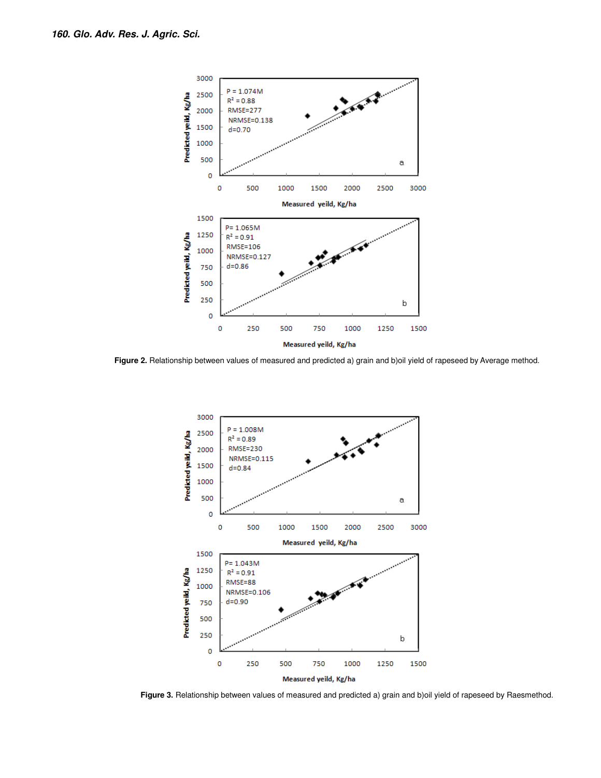

 **Figure 2.** Relationship between values of measured and predicted a) grain and b)oil yield of rapeseed by Average method.



Figure 3. Relationship between values of measured and predicted a) grain and b)oil yield of rapeseed by Raesmethod.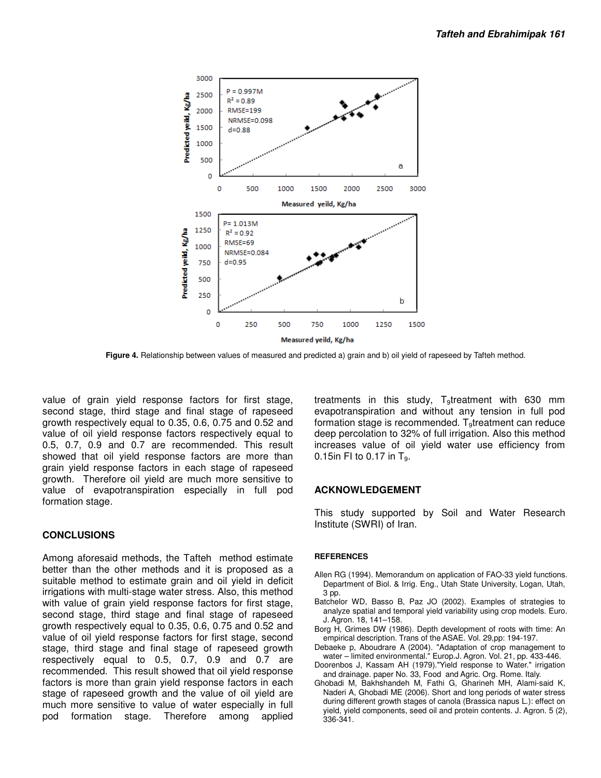

 **Figure 4.** Relationship between values of measured and predicted a) grain and b) oil yield of rapeseed by Tafteh method.

value of grain yield response factors for first stage, second stage, third stage and final stage of rapeseed growth respectively equal to 0.35, 0.6, 0.75 and 0.52 and value of oil yield response factors respectively equal to 0.5, 0.7, 0.9 and 0.7 are recommended. This result showed that oil yield response factors are more than grain yield response factors in each stage of rapeseed growth. Therefore oil yield are much more sensitive to value of evapotranspiration especially in full pod formation stage.

### **CONCLUSIONS**

Among aforesaid methods, the Tafteh method estimate better than the other methods and it is proposed as a suitable method to estimate grain and oil yield in deficit irrigations with multi-stage water stress. Also, this method with value of grain yield response factors for first stage, second stage, third stage and final stage of rapeseed growth respectively equal to 0.35, 0.6, 0.75 and 0.52 and value of oil yield response factors for first stage, second stage, third stage and final stage of rapeseed growth respectively equal to 0.5, 0.7, 0.9 and 0.7 are recommended. This result showed that oil yield response factors is more than grain yield response factors in each stage of rapeseed growth and the value of oil yield are much more sensitive to value of water especially in full pod formation stage. Therefore among applied treatments in this study, T<sub>9</sub>treatment with 630 mm evapotranspiration and without any tension in full pod formation stage is recommended.  $T<sub>9</sub>$ treatment can reduce deep percolation to 32% of full irrigation. Also this method increases value of oil yield water use efficiency from 0.15in FI to 0.17 in  $T_9$ .

#### **ACKNOWLEDGEMENT**

This study supported by Soil and Water Research Institute (SWRI) of Iran.

#### **REFERENCES**

- Allen RG (1994). Memorandum on application of FAO-33 yield functions. Department of Biol. & Irrig. Eng., Utah State University, Logan, Utah, 3 pp.
- Batchelor WD, Basso B, Paz JO (2002). Examples of strategies to analyze spatial and temporal yield variability using crop models. Euro. J. Agron. 18, 141–158.
- Borg H, Grimes DW (1986). Depth development of roots with time: An empirical description. Trans of the ASAE. Vol. 29,pp: 194-197.
- Debaeke p, Aboudrare A (2004). "Adaptation of crop management to water – limited environmental." Europ.J. Agron. Vol. 21, pp. 433-446.
- Doorenbos J, Kassam AH (1979)."Yield response to Water." irrigation and drainage. paper No. 33, Food and Agric. Org. Rome. Italy.
- Ghobadi M, Bakhshandeh M, Fathi G, Gharineh MH, Alami-said K, Naderi A, Ghobadi ME (2006). Short and long periods of water stress during different growth stages of canola (Brassica napus L.): effect on yield, yield components, seed oil and protein contents. J. Agron. 5 (2), 336-341.